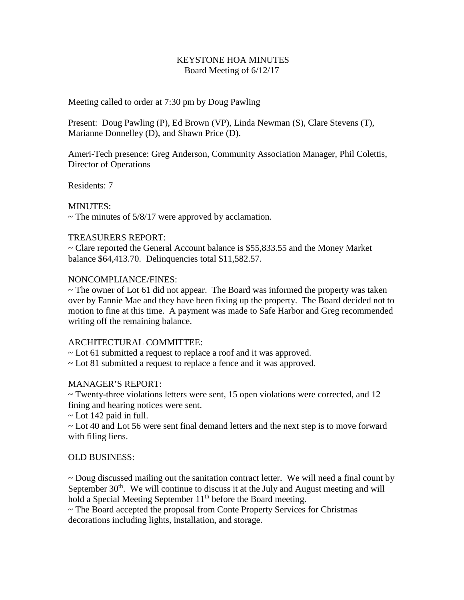## KEYSTONE HOA MINUTES Board Meeting of 6/12/17

Meeting called to order at 7:30 pm by Doug Pawling

Present: Doug Pawling (P), Ed Brown (VP), Linda Newman (S), Clare Stevens (T), Marianne Donnelley (D), and Shawn Price (D).

Ameri-Tech presence: Greg Anderson, Community Association Manager, Phil Colettis, Director of Operations

Residents: 7

## MINUTES:

 $\sim$  The minutes of 5/8/17 were approved by acclamation.

## TREASURERS REPORT:

~ Clare reported the General Account balance is \$55,833.55 and the Money Market balance \$64,413.70. Delinquencies total \$11,582.57.

#### NONCOMPLIANCE/FINES:

 $\sim$  The owner of Lot 61 did not appear. The Board was informed the property was taken over by Fannie Mae and they have been fixing up the property. The Board decided not to motion to fine at this time. A payment was made to Safe Harbor and Greg recommended writing off the remaining balance.

#### ARCHITECTURAL COMMITTEE:

~ Lot 61 submitted a request to replace a roof and it was approved.

~ Lot 81 submitted a request to replace a fence and it was approved.

# MANAGER'S REPORT:

~ Twenty-three violations letters were sent, 15 open violations were corrected, and 12 fining and hearing notices were sent.

 $\sim$  Lot 142 paid in full.

~ Lot 40 and Lot 56 were sent final demand letters and the next step is to move forward with filing liens.

# OLD BUSINESS:

~ Doug discussed mailing out the sanitation contract letter. We will need a final count by September  $30<sup>th</sup>$ . We will continue to discuss it at the July and August meeting and will hold a Special Meeting September 11<sup>th</sup> before the Board meeting.

~ The Board accepted the proposal from Conte Property Services for Christmas decorations including lights, installation, and storage.